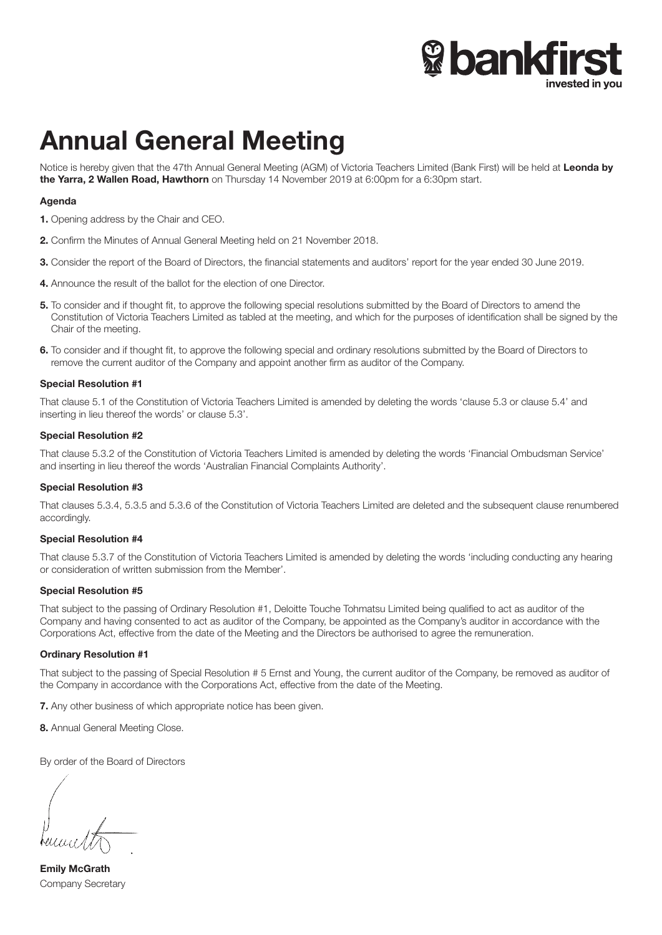

# Annual General Meeting

Notice is hereby given that the 47th Annual General Meeting (AGM) of Victoria Teachers Limited (Bank First) will be held at Leonda by the Yarra, 2 Wallen Road, Hawthorn on Thursday 14 November 2019 at 6:00pm for a 6:30pm start.

# Agenda

- 1. Opening address by the Chair and CEO.
- 2. Confirm the Minutes of Annual General Meeting held on 21 November 2018.
- 3. Consider the report of the Board of Directors, the financial statements and auditors' report for the year ended 30 June 2019.
- 4. Announce the result of the ballot for the election of one Director.
- 5. To consider and if thought fit, to approve the following special resolutions submitted by the Board of Directors to amend the Constitution of Victoria Teachers Limited as tabled at the meeting, and which for the purposes of identification shall be signed by the Chair of the meeting.
- 6. To consider and if thought fit, to approve the following special and ordinary resolutions submitted by the Board of Directors to remove the current auditor of the Company and appoint another firm as auditor of the Company.

#### Special Resolution #1

That clause 5.1 of the Constitution of Victoria Teachers Limited is amended by deleting the words 'clause 5.3 or clause 5.4' and inserting in lieu thereof the words' or clause 5.3'.

#### Special Resolution #2

That clause 5.3.2 of the Constitution of Victoria Teachers Limited is amended by deleting the words 'Financial Ombudsman Service' and inserting in lieu thereof the words 'Australian Financial Complaints Authority'.

#### Special Resolution #3

That clauses 5.3.4, 5.3.5 and 5.3.6 of the Constitution of Victoria Teachers Limited are deleted and the subsequent clause renumbered accordingly.

#### Special Resolution #4

That clause 5.3.7 of the Constitution of Victoria Teachers Limited is amended by deleting the words 'including conducting any hearing or consideration of written submission from the Member'.

#### Special Resolution #5

That subject to the passing of Ordinary Resolution #1, Deloitte Touche Tohmatsu Limited being qualified to act as auditor of the Company and having consented to act as auditor of the Company, be appointed as the Company's auditor in accordance with the Corporations Act, effective from the date of the Meeting and the Directors be authorised to agree the remuneration.

#### Ordinary Resolution #1

That subject to the passing of Special Resolution # 5 Ernst and Young, the current auditor of the Company, be removed as auditor of the Company in accordance with the Corporations Act, effective from the date of the Meeting.

7. Any other business of which appropriate notice has been given.

8. Annual General Meeting Close.

By order of the Board of Directors

Emily McGrath Company Secretary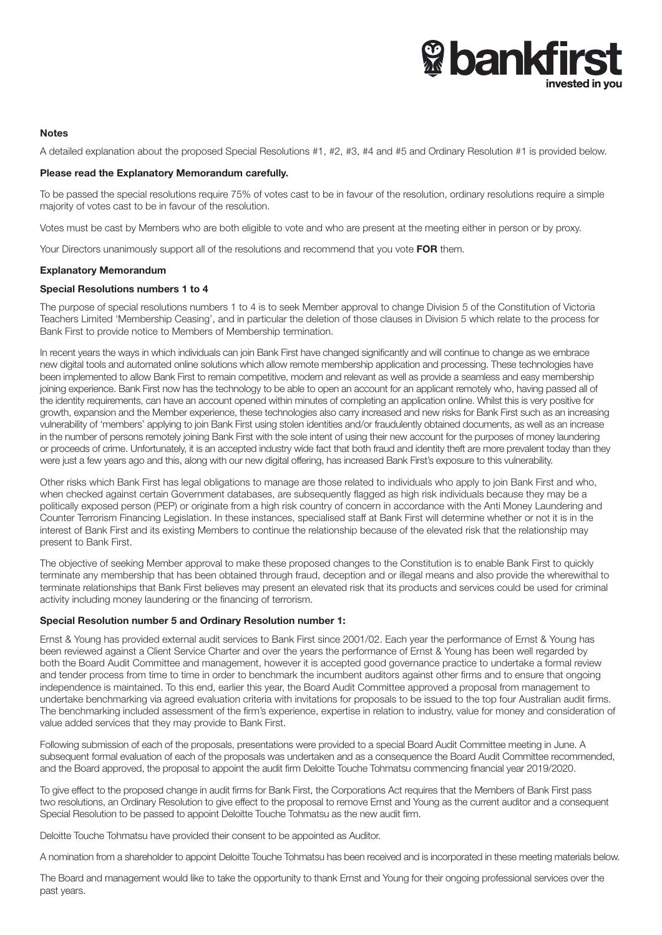# **& bankfirs** invested in vou

#### **Notes**

A detailed explanation about the proposed Special Resolutions #1, #2, #3, #4 and #5 and Ordinary Resolution #1 is provided below.

#### Please read the Explanatory Memorandum carefully.

To be passed the special resolutions require 75% of votes cast to be in favour of the resolution, ordinary resolutions require a simple majority of votes cast to be in favour of the resolution.

Votes must be cast by Members who are both eligible to vote and who are present at the meeting either in person or by proxy.

Your Directors unanimously support all of the resolutions and recommend that you vote FOR them.

#### Explanatory Memorandum

#### Special Resolutions numbers 1 to 4

The purpose of special resolutions numbers 1 to 4 is to seek Member approval to change Division 5 of the Constitution of Victoria Teachers Limited 'Membership Ceasing', and in particular the deletion of those clauses in Division 5 which relate to the process for Bank First to provide notice to Members of Membership termination.

In recent years the ways in which individuals can join Bank First have changed significantly and will continue to change as we embrace new digital tools and automated online solutions which allow remote membership application and processing. These technologies have been implemented to allow Bank First to remain competitive, modern and relevant as well as provide a seamless and easy membership joining experience. Bank First now has the technology to be able to open an account for an applicant remotely who, having passed all of the identity requirements, can have an account opened within minutes of completing an application online. Whilst this is very positive for growth, expansion and the Member experience, these technologies also carry increased and new risks for Bank First such as an increasing vulnerability of 'members' applying to join Bank First using stolen identities and/or fraudulently obtained documents, as well as an increase in the number of persons remotely joining Bank First with the sole intent of using their new account for the purposes of money laundering or proceeds of crime. Unfortunately, it is an accepted industry wide fact that both fraud and identity theft are more prevalent today than they were just a few years ago and this, along with our new digital offering, has increased Bank First's exposure to this vulnerability.

Other risks which Bank First has legal obligations to manage are those related to individuals who apply to join Bank First and who, when checked against certain Government databases, are subsequently flagged as high risk individuals because they may be a politically exposed person (PEP) or originate from a high risk country of concern in accordance with the Anti Money Laundering and Counter Terrorism Financing Legislation. In these instances, specialised staff at Bank First will determine whether or not it is in the interest of Bank First and its existing Members to continue the relationship because of the elevated risk that the relationship may present to Bank First.

The objective of seeking Member approval to make these proposed changes to the Constitution is to enable Bank First to quickly terminate any membership that has been obtained through fraud, deception and or illegal means and also provide the wherewithal to terminate relationships that Bank First believes may present an elevated risk that its products and services could be used for criminal activity including money laundering or the financing of terrorism.

#### Special Resolution number 5 and Ordinary Resolution number 1:

Ernst & Young has provided external audit services to Bank First since 2001/02. Each year the performance of Ernst & Young has been reviewed against a Client Service Charter and over the years the performance of Ernst & Young has been well regarded by both the Board Audit Committee and management, however it is accepted good governance practice to undertake a formal review and tender process from time to time in order to benchmark the incumbent auditors against other firms and to ensure that ongoing independence is maintained. To this end, earlier this year, the Board Audit Committee approved a proposal from management to undertake benchmarking via agreed evaluation criteria with invitations for proposals to be issued to the top four Australian audit firms. The benchmarking included assessment of the firm's experience, expertise in relation to industry, value for money and consideration of value added services that they may provide to Bank First.

Following submission of each of the proposals, presentations were provided to a special Board Audit Committee meeting in June. A subsequent formal evaluation of each of the proposals was undertaken and as a consequence the Board Audit Committee recommended, and the Board approved, the proposal to appoint the audit firm Deloitte Touche Tohmatsu commencing financial year 2019/2020.

To give effect to the proposed change in audit firms for Bank First, the Corporations Act requires that the Members of Bank First pass two resolutions, an Ordinary Resolution to give effect to the proposal to remove Ernst and Young as the current auditor and a consequent Special Resolution to be passed to appoint Deloitte Touche Tohmatsu as the new audit firm.

Deloitte Touche Tohmatsu have provided their consent to be appointed as Auditor.

A nomination from a shareholder to appoint Deloitte Touche Tohmatsu has been received and is incorporated in these meeting materials below.

The Board and management would like to take the opportunity to thank Ernst and Young for their ongoing professional services over the past years.